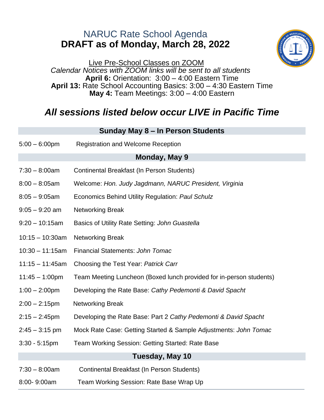## NARUC Rate School Agenda **DRAFT as of Monday, March 28, 2022**



Live Pre-School Classes on ZOOM *Calendar Notices with ZOOM links will be sent to all students* **April 6:** Orientation: 3:00 – 4:00 Eastern Time **April 13:** Rate School Accounting Basics: 3:00 – 4:30 Eastern Time **May 4:** Team Meetings: 3:00 – 4:00 Eastern

## *All sessions listed below occur LIVE in Pacific Time*

**Sunday May 8 – In Person Students**

|                    | Udinay may 0 min ciboli Uladento                                    |  |
|--------------------|---------------------------------------------------------------------|--|
| $5:00 - 6:00$ pm   | <b>Registration and Welcome Reception</b>                           |  |
| Monday, May 9      |                                                                     |  |
| $7:30 - 8:00$ am   | Continental Breakfast (In Person Students)                          |  |
| $8:00 - 8:05$ am   | Welcome: Hon. Judy Jagdmann, NARUC President, Virginia              |  |
| $8:05 - 9:05$ am   | Economics Behind Utility Regulation: Paul Schulz                    |  |
| $9:05 - 9:20$ am   | <b>Networking Break</b>                                             |  |
| $9:20 - 10:15$ am  | Basics of Utility Rate Setting: John Guastella                      |  |
| $10:15 - 10:30$ am | <b>Networking Break</b>                                             |  |
| $10:30 - 11:15am$  | <b>Financial Statements: John Tomac</b>                             |  |
| $11:15 - 11:45am$  | Choosing the Test Year: Patrick Carr                                |  |
| $11:45 - 1:00$ pm  | Team Meeting Luncheon (Boxed lunch provided for in-person students) |  |
| $1:00 - 2:00$ pm   | Developing the Rate Base: Cathy Pedemonti & David Spacht            |  |
| $2:00 - 2:15$ pm   | <b>Networking Break</b>                                             |  |
| $2:15 - 2:45$ pm   | Developing the Rate Base: Part 2 Cathy Pedemonti & David Spacht     |  |
| $2:45 - 3:15$ pm   | Mock Rate Case: Getting Started & Sample Adjustments: John Tomac    |  |
| $3:30 - 5:15$ pm   | Team Working Session: Getting Started: Rate Base                    |  |
|                    | Tuesday, May 10                                                     |  |
| $7:30 - 8:00$ am   | Continental Breakfast (In Person Students)                          |  |
| 8:00-9:00am        | Team Working Session: Rate Base Wrap Up                             |  |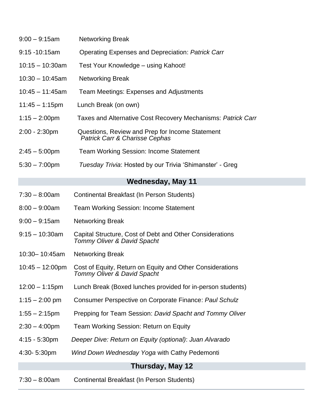| $9:00 - 9:15$ am          | <b>Networking Break</b>                                                                  |
|---------------------------|------------------------------------------------------------------------------------------|
| $9:15 - 10:15$ am         | Operating Expenses and Depreciation: Patrick Carr                                        |
| $10:15 - 10:30$ am        | Test Your Knowledge – using Kahoot!                                                      |
| $10:30 - 10:45$ am        | <b>Networking Break</b>                                                                  |
| $10:45 - 11:45$ am        | <b>Team Meetings: Expenses and Adjustments</b>                                           |
| $11:45 - 1:15$ pm         | Lunch Break (on own)                                                                     |
| $1:15 - 2:00$ pm          | Taxes and Alternative Cost Recovery Mechanisms: Patrick Carr                             |
| $2:00 - 2:30$ pm          | Questions, Review and Prep for Income Statement<br>Patrick Carr & Charisse Cephas        |
| $2:45 - 5:00$ pm          | <b>Team Working Session: Income Statement</b>                                            |
| $5:30 - 7:00$ pm          | Tuesday Trivia: Hosted by our Trivia 'Shimanster' - Greg                                 |
|                           | <b>Wednesday, May 11</b>                                                                 |
| $7:30 - 8:00$ am          | Continental Breakfast (In Person Students)                                               |
| $8:00 - 9:00$ am          | <b>Team Working Session: Income Statement</b>                                            |
| $9:00 - 9:15$ am          | <b>Networking Break</b>                                                                  |
| $9:15 - 10:30$ am         | Capital Structure, Cost of Debt and Other Considerations<br>Tommy Oliver & David Spacht  |
| 10:30-10:45am             | <b>Networking Break</b>                                                                  |
| $10:45 - 12:00 \text{pm}$ | Cost of Equity, Return on Equity and Other Considerations<br>Tommy Oliver & David Spacht |
| $12:00 - 1:15$ pm         | Lunch Break (Boxed lunches provided for in-person students)                              |
| $1:15 - 2:00$ pm          | Consumer Perspective on Corporate Finance: Paul Schulz                                   |
| $1:55 - 2:15$ pm          | Prepping for Team Session: David Spacht and Tommy Oliver                                 |
| $2:30 - 4:00$ pm          | Team Working Session: Return on Equity                                                   |
| $4:15 - 5:30$ pm          | Deeper Dive: Return on Equity (optional): Juan Alvarado                                  |
| 4:30-5:30pm               | Wind Down Wednesday Yoga with Cathy Pedemonti                                            |
|                           | Thursday, May 12                                                                         |
| $7:30 - 8:00$ am          | Continental Breakfast (In Person Students)                                               |